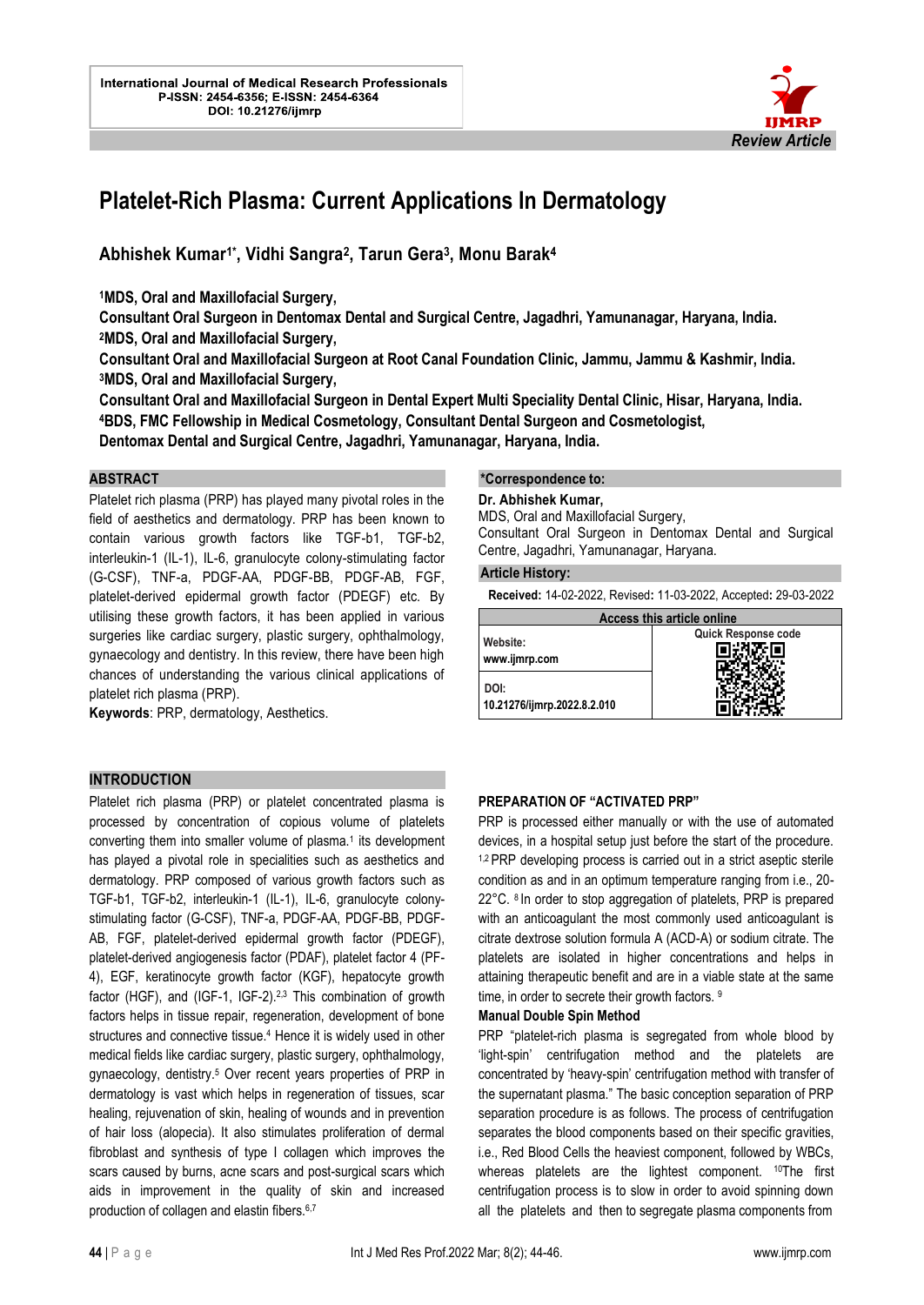

# **Platelet-Rich Plasma: Current Applications In Dermatology**

**Abhishek Kumar1\* , Vidhi Sangra<sup>2</sup> , Tarun Gera<sup>3</sup> , Monu Barak<sup>4</sup>**

**<sup>1</sup>MDS, Oral and Maxillofacial Surgery,** 

**Consultant Oral Surgeon in Dentomax Dental and Surgical Centre, Jagadhri, Yamunanagar, Haryana, India. <sup>2</sup>MDS, Oral and Maxillofacial Surgery,** 

**Consultant Oral and Maxillofacial Surgeon at Root Canal Foundation Clinic, Jammu, Jammu & Kashmir, India. <sup>3</sup>MDS, Oral and Maxillofacial Surgery,** 

**Consultant Oral and Maxillofacial Surgeon in Dental Expert Multi Speciality Dental Clinic, Hisar, Haryana, India. <sup>4</sup>BDS, FMC Fellowship in Medical Cosmetology, Consultant Dental Surgeon and Cosmetologist,** 

**Dentomax Dental and Surgical Centre, Jagadhri, Yamunanagar, Haryana, India.**

## **ABSTRACT**

Platelet rich plasma (PRP) has played many pivotal roles in the field of aesthetics and dermatology. PRP has been known to contain various growth factors like TGF-b1, TGF-b2, interleukin-1 (IL-1), IL-6, granulocyte colony-stimulating factor (G-CSF), TNF-a, PDGF-AA, PDGF-BB, PDGF-AB, FGF, platelet-derived epidermal growth factor (PDEGF) etc. By utilising these growth factors, it has been applied in various surgeries like cardiac surgery, plastic surgery, ophthalmology, gynaecology and dentistry. In this review, there have been high chances of understanding the various clinical applications of platelet rich plasma (PRP).

**Keywords**: PRP, dermatology, Aesthetics.

## **INTRODUCTION**

Platelet rich plasma (PRP) or platelet concentrated plasma is processed by concentration of copious volume of platelets converting them into smaller volume of plasma.<sup>1</sup> its development has played a pivotal role in specialities such as aesthetics and dermatology. PRP composed of various growth factors such as TGF-b1, TGF-b2, interleukin-1 (IL-1), IL-6, granulocyte colonystimulating factor (G-CSF), TNF-a, PDGF-AA, PDGF-BB, PDGF-AB, FGF, platelet-derived epidermal growth factor (PDEGF), platelet-derived angiogenesis factor (PDAF), platelet factor 4 (PF-4), EGF, keratinocyte growth factor (KGF), hepatocyte growth factor (HGF), and (IGF-1, IGF-2).<sup>2,3</sup> This combination of growth factors helps in tissue repair, regeneration, development of bone structures and connective tissue.<sup>4</sup> Hence it is widely used in other medical fields like cardiac surgery, plastic surgery, ophthalmology, gynaecology, dentistry.<sup>5</sup> Over recent years properties of PRP in dermatology is vast which helps in regeneration of tissues, scar healing, rejuvenation of skin, healing of wounds and in prevention of hair loss (alopecia). It also stimulates proliferation of dermal fibroblast and synthesis of type I collagen which improves the scars caused by burns, acne scars and post-surgical scars which aids in improvement in the quality of skin and increased production of collagen and elastin fibers.<sup>6,7</sup>

#### **\*Correspondence to:**

#### **Dr. Abhishek Kumar,**

MDS, Oral and Maxillofacial Surgery,

Consultant Oral Surgeon in Dentomax Dental and Surgical Centre, Jagadhri, Yamunanagar, Haryana.

#### **Article History:**

l.

**Received:** 14-02-2022, Revised**:** 11-03-2022, Accepted**:** 29-03-2022

| Access this article online          |                     |
|-------------------------------------|---------------------|
| Website:<br>www.ijmrp.com           | Quick Response code |
| DOI:<br>10.21276/ijmrp.2022.8.2.010 |                     |

#### **PREPARATION OF "ACTIVATED PRP"**

PRP is processed either manually or with the use of automated devices, in a hospital setup just before the start of the procedure. <sup>1,2</sup> PRP developing process is carried out in a strict aseptic sterile condition as and in an optimum temperature ranging from i.e., 20- 22°C. 8 In order to stop aggregation of platelets, PRP is prepared with an anticoagulant the most commonly used anticoagulant is citrate dextrose solution formula A (ACD-A) or sodium citrate. The platelets are isolated in higher concentrations and helps in attaining therapeutic benefit and are in a viable state at the same time, in order to secrete their growth factors. 9

#### **Manual Double Spin Method**

PRP "platelet-rich plasma is segregated from whole blood by 'light-spin' centrifugation method and the platelets are concentrated by 'heavy-spin' centrifugation method with transfer of the supernatant plasma." The basic conception separation of PRP separation procedure is as follows. The process of centrifugation separates the blood components based on their specific gravities, i.e., Red Blood Cells the heaviest component, followed by WBCs, whereas platelets are the lightest component. <sup>10</sup>The first centrifugation process is to slow in order to avoid spinning down all the platelets and then to segregate plasma components from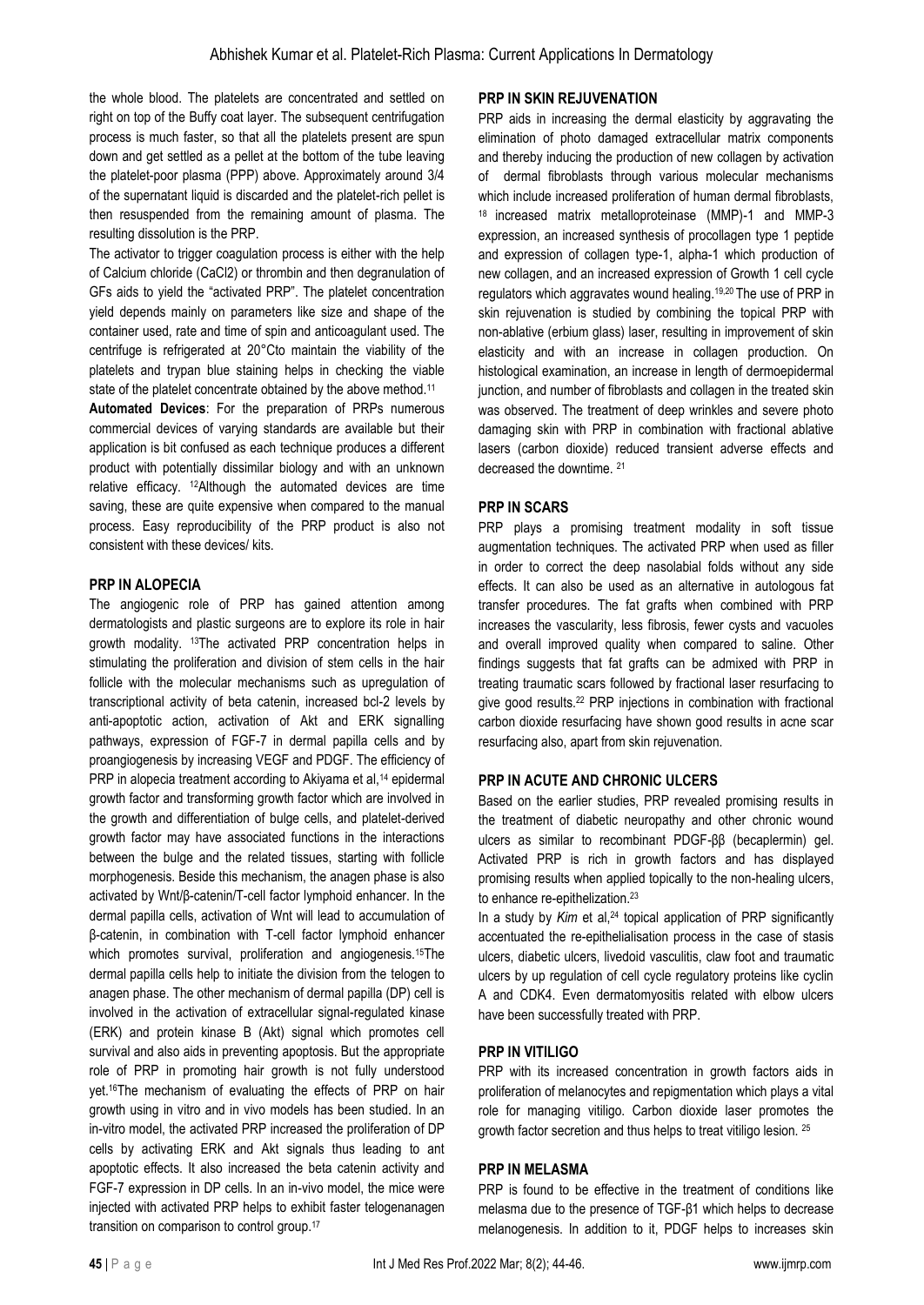the whole blood. The platelets are concentrated and settled on right on top of the Buffy coat layer. The subsequent centrifugation process is much faster, so that all the platelets present are spun down and get settled as a pellet at the bottom of the tube leaving the platelet-poor plasma (PPP) above. Approximately around 3/4 of the supernatant liquid is discarded and the platelet-rich pellet is then resuspended from the remaining amount of plasma. The resulting dissolution is the PRP.

The activator to trigger coagulation process is either with the help of Calcium chloride (CaCl2) or thrombin and then degranulation of GFs aids to yield the "activated PRP". The platelet concentration yield depends mainly on parameters like size and shape of the container used, rate and time of spin and anticoagulant used. The centrifuge is refrigerated at 20°Cto maintain the viability of the platelets and trypan blue staining helps in checking the viable state of the platelet concentrate obtained by the above method.<sup>11</sup>

**Automated Devices**: For the preparation of PRPs numerous commercial devices of varying standards are available but their application is bit confused as each technique produces a different product with potentially dissimilar biology and with an unknown relative efficacy. 12Although the automated devices are time saving, these are quite expensive when compared to the manual process. Easy reproducibility of the PRP product is also not consistent with these devices/ kits.

## **PRP IN ALOPECIA**

The angiogenic role of PRP has gained attention among dermatologists and plastic surgeons are to explore its role in hair growth modality. 13The activated PRP concentration helps in stimulating the proliferation and division of stem cells in the hair follicle with the molecular mechanisms such as upregulation of transcriptional activity of beta catenin, increased bcl-2 levels by anti-apoptotic action, activation of Akt and ERK signalling pathways, expression of FGF-7 in dermal papilla cells and by proangiogenesis by increasing VEGF and PDGF. The efficiency of PRP in alopecia treatment according to Akiyama et al,<sup>14</sup> epidermal growth factor and transforming growth factor which are involved in the growth and differentiation of bulge cells, and platelet-derived growth factor may have associated functions in the interactions between the bulge and the related tissues, starting with follicle morphogenesis. Beside this mechanism, the anagen phase is also activated by Wnt/β-catenin/T-cell factor lymphoid enhancer. In the dermal papilla cells, activation of Wnt will lead to accumulation of β-catenin, in combination with T-cell factor lymphoid enhancer which promotes survival, proliferation and angiogenesis.<sup>15</sup>The dermal papilla cells help to initiate the division from the telogen to anagen phase. The other mechanism of dermal papilla (DP) cell is involved in the activation of extracellular signal-regulated kinase (ERK) and protein kinase B (Akt) signal which promotes cell survival and also aids in preventing apoptosis. But the appropriate role of PRP in promoting hair growth is not fully understood yet.16The mechanism of evaluating the effects of PRP on hair growth using in vitro and in vivo models has been studied. In an in-vitro model, the activated PRP increased the proliferation of DP cells by activating ERK and Akt signals thus leading to ant apoptotic effects. It also increased the beta catenin activity and FGF-7 expression in DP cells. In an in-vivo model, the mice were injected with activated PRP helps to exhibit faster telogenanagen transition on comparison to control group.<sup>17</sup>

## **PRP IN SKIN REJUVENATION**

PRP aids in increasing the dermal elasticity by aggravating the elimination of photo damaged extracellular matrix components and thereby inducing the production of new collagen by activation of dermal fibroblasts through various molecular mechanisms which include increased proliferation of human dermal fibroblasts, <sup>18</sup> increased matrix metalloproteinase (MMP)-1 and MMP-3 expression, an increased synthesis of procollagen type 1 peptide and expression of collagen type-1, alpha-1 which production of new collagen, and an increased expression of Growth 1 cell cycle regulators which aggravates wound healing.19,20 The use of PRP in skin rejuvenation is studied by combining the topical PRP with non-ablative (erbium glass) laser, resulting in improvement of skin elasticity and with an increase in collagen production. On histological examination, an increase in length of dermoepidermal junction, and number of fibroblasts and collagen in the treated skin was observed. The treatment of deep wrinkles and severe photo damaging skin with PRP in combination with fractional ablative lasers (carbon dioxide) reduced transient adverse effects and decreased the downtime. <sup>21</sup>

# **PRP IN SCARS**

PRP plays a promising treatment modality in soft tissue augmentation techniques. The activated PRP when used as filler in order to correct the deep nasolabial folds without any side effects. It can also be used as an alternative in autologous fat transfer procedures. The fat grafts when combined with PRP increases the vascularity, less fibrosis, fewer cysts and vacuoles and overall improved quality when compared to saline. Other findings suggests that fat grafts can be admixed with PRP in treating traumatic scars followed by fractional laser resurfacing to give good results.<sup>22</sup> PRP injections in combination with fractional carbon dioxide resurfacing have shown good results in acne scar resurfacing also, apart from skin rejuvenation.

# **PRP IN ACUTE AND CHRONIC ULCERS**

Based on the earlier studies, PRP revealed promising results in the treatment of diabetic neuropathy and other chronic wound ulcers as similar to recombinant PDGF-ββ (becaplermin) gel. Activated PRP is rich in growth factors and has displayed promising results when applied topically to the non-healing ulcers, to enhance re-epithelization.<sup>23</sup>

In a study by *Kim* et al,<sup>24</sup> topical application of PRP significantly accentuated the re-epithelialisation process in the case of stasis ulcers, diabetic ulcers, livedoid vasculitis, claw foot and traumatic ulcers by up regulation of cell cycle regulatory proteins like cyclin A and CDK4. Even dermatomyositis related with elbow ulcers have been successfully treated with PRP.

## **PRP IN VITILIGO**

PRP with its increased concentration in growth factors aids in proliferation of melanocytes and repigmentation which plays a vital role for managing vitiligo. Carbon dioxide laser promotes the growth factor secretion and thus helps to treat vitiligo lesion. <sup>25</sup>

## **PRP IN MELASMA**

PRP is found to be effective in the treatment of conditions like melasma due to the presence of TGF-β1 which helps to decrease melanogenesis. In addition to it, PDGF helps to increases skin